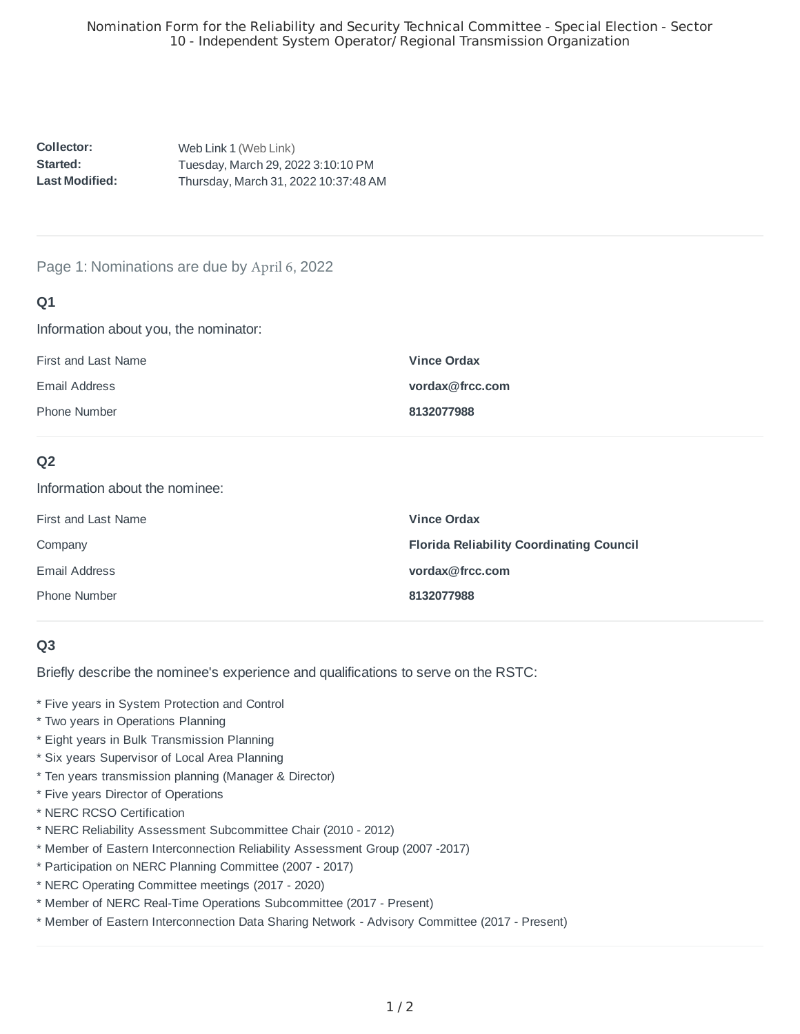**Collector:: Started: : Last Modified::**  Web Link 1 (Web Link) Tuesday, March 29, 2022 3:10:10 PM Thursday, March 31, 2022 10:37:48 AM

## Page 1: Nominations are due by April 6, 2022

## **Q1**

Information about you, the nominator:

| First and Last Name | <b>Vince Ordax</b> |
|---------------------|--------------------|
| Email Address       | vordax@frcc.com    |
| <b>Phone Number</b> | 8132077988         |

## **Q2**

Information about the nominee:

| First and Last Name | <b>Vince Ordax</b>                              |
|---------------------|-------------------------------------------------|
| Company             | <b>Florida Reliability Coordinating Council</b> |
| Email Address       | vordax@frcc.com                                 |
| <b>Phone Number</b> | 8132077988                                      |

## **Q3**

Briefly describe the nominee's experience and qualifications to serve on the RSTC:

- \* Five years in System Protection and Control
- \* Two years in Operations Planning
- \* Eight years in Bulk Transmission Planning
- \* Six years Supervisor of Local Area Planning
- \* Ten years transmission planning (Manager & Director)
- \* Five years Director of Operations
- \* NERC RCSO Certification
- \* NERC Reliability Assessment Subcommittee Chair (2010 2012)
- \* Member of Eastern Interconnection Reliability Assessment Group (2007 -2017)
- \* Participation on NERC Planning Committee (2007 2017)
- \* NERC Operating Committee meetings (2017 2020)
- \* Member of NERC Real-Time Operations Subcommittee (2017 Present)
- \* Member of Eastern Interconnection Data Sharing Network Advisory Committee (2017 Present)